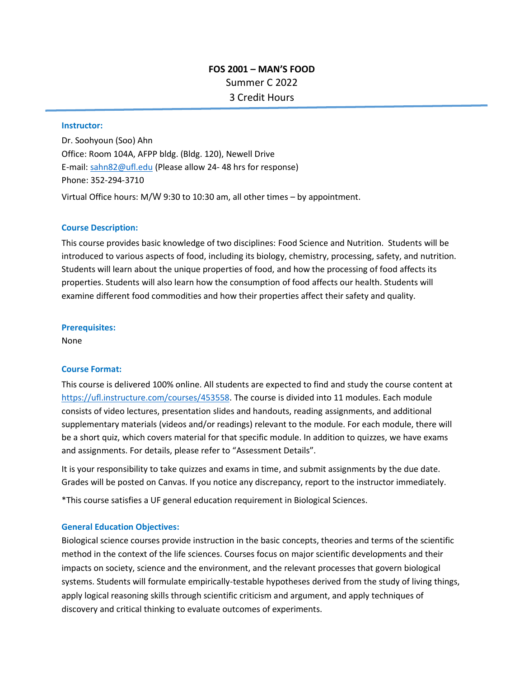# **FOS 2001 – MAN'S FOOD**  Summer C 2022 3 Credit Hours

#### **Instructor:**

Dr. Soohyoun (Soo) Ahn Office: Room 104A, AFPP bldg. (Bldg. 120), Newell Drive E-mail[: sahn82@ufl.edu](mailto:sahn82@ufl.edu) (Please allow 24- 48 hrs for response) Phone: 352-294-3710 Virtual Office hours: M/W 9:30 to 10:30 am, all other times – by appointment.

#### **Course Description:**

This course provides basic knowledge of two disciplines: Food Science and Nutrition. Students will be introduced to various aspects of food, including its biology, chemistry, processing, safety, and nutrition. Students will learn about the unique properties of food, and how the processing of food affects its properties. Students will also learn how the consumption of food affects our health. Students will examine different food commodities and how their properties affect their safety and quality.

#### **Prerequisites:**

None

#### **Course Format:**

This course is delivered 100% online. All students are expected to find and study the course content at [https://ufl.instructure.com/courses/453558.](https://ufl.instructure.com/courses/453558) The course is divided into 11 modules. Each module consists of video lectures, presentation slides and handouts, reading assignments, and additional supplementary materials (videos and/or readings) relevant to the module. For each module, there will be a short quiz, which covers material for that specific module. In addition to quizzes, we have exams and assignments. For details, please refer to "Assessment Details".

It is your responsibility to take quizzes and exams in time, and submit assignments by the due date. Grades will be posted on Canvas. If you notice any discrepancy, report to the instructor immediately.

\*This course satisfies a UF general education requirement in Biological Sciences.

#### **General Education Objectives:**

Biological science courses provide instruction in the basic concepts, theories and terms of the scientific method in the context of the life sciences. Courses focus on major scientific developments and their impacts on society, science and the environment, and the relevant processes that govern biological systems. Students will formulate empirically-testable hypotheses derived from the study of living things, apply logical reasoning skills through scientific criticism and argument, and apply techniques of discovery and critical thinking to evaluate outcomes of experiments.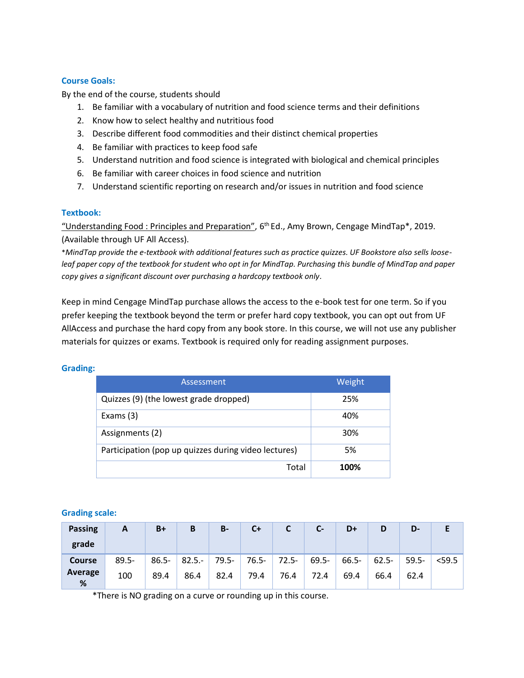# **Course Goals:**

By the end of the course, students should

- 1. Be familiar with a vocabulary of nutrition and food science terms and their definitions
- 2. Know how to select healthy and nutritious food
- 3. Describe different food commodities and their distinct chemical properties
- 4. Be familiar with practices to keep food safe
- 5. Understand nutrition and food science is integrated with biological and chemical principles
- 6. Be familiar with career choices in food science and nutrition
- 7. Understand scientific reporting on research and/or issues in nutrition and food science

# **Textbook:**

"Understanding Food : Principles and Preparation", 6th Ed., Amy Brown, Cengage MindTap\*, 2019. (Available through UF All Access).

\**MindTap provide the e-textbook with additional features such as practice quizzes. UF Bookstore also sells looseleaf paper copy of the textbook for student who opt in for MindTap. Purchasing this bundle of MindTap and paper copy gives a significant discount over purchasing a hardcopy textbook only.* 

Keep in mind Cengage MindTap purchase allows the access to the e-book test for one term. So if you prefer keeping the textbook beyond the term or prefer hard copy textbook, you can opt out from UF AllAccess and purchase the hard copy from any book store. In this course, we will not use any publisher materials for quizzes or exams. Textbook is required only for reading assignment purposes.

## **Grading:**

| Assessment                                           | Weight |
|------------------------------------------------------|--------|
| Quizzes (9) (the lowest grade dropped)               | 25%    |
| Exams $(3)$                                          | 40%    |
| Assignments (2)                                      | 30%    |
| Participation (pop up quizzes during video lectures) | 5%     |
| Total                                                | 100%   |

### **Grading scale:**

| <b>Passing</b><br>grade | A        | $B+$ | B               | $B -$ | $C+$  |          | $C-$     | D+       | D        | D-       |          |
|-------------------------|----------|------|-----------------|-------|-------|----------|----------|----------|----------|----------|----------|
| <b>Course</b>           | $89.5 -$ |      | $86.5 - 82.5 -$ | 79.5- | 76.5- | $72.5 -$ | $69.5 -$ | $66.5 -$ | $62.5 -$ | $59.5 -$ | $<$ 59.5 |
| Average<br>%            | 100      | 89.4 | 86.4            | 82.4  | 79.4  | 76.4     | 72.4     | 69.4     | 66.4     | 62.4     |          |

\*There is NO grading on a curve or rounding up in this course.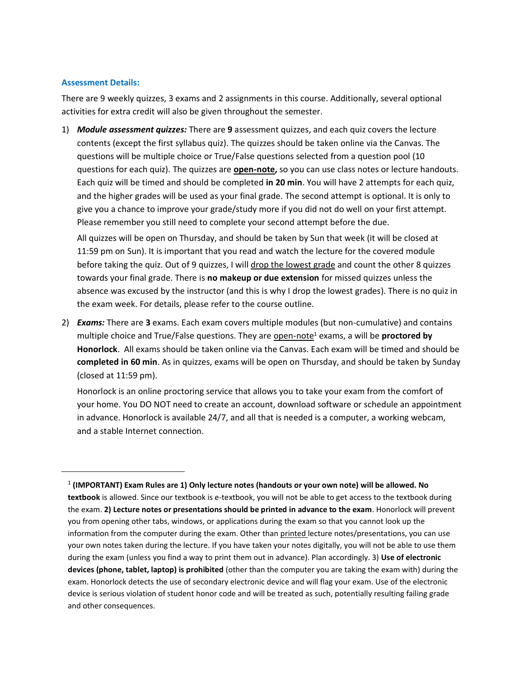## **Assessment Details:**

There are 9 weekly quizzes, 3 exams and 2 assignments in this course. Additionally, several optional activities for extra credit will also be given throughout the semester.

1) *Module assessment quizzes:* There are **9** assessment quizzes, and each quiz covers the lecture contents (except the first syllabus quiz). The quizzes should be taken online via the Canvas. The questions will be multiple choice or True/False questions selected from a question pool (10 questions for each quiz). The quizzes are **open-note,** so you can use class notes or lecture handouts. Each quiz will be timed and should be completed **in 20 min**. You will have 2 attempts for each quiz, and the higher grades will be used as your final grade. The second attempt is optional. It is only to give you a chance to improve your grade/study more if you did not do well on your first attempt. Please remember you still need to complete your second attempt before the due.

All quizzes will be open on Thursday, and should be taken by Sun that week (it will be closed at 11:59 pm on Sun). It is important that you read and watch the lecture for the covered module before taking the quiz. Out of 9 quizzes, I will drop the lowest grade and count the other 8 quizzes towards your final grade. There is **no makeup or due extension** for missed quizzes unless the absence was excused by the instructor (and this is why I drop the lowest grades). There is no quiz in the exam week. For details, please refer to the course outline.

2) *Exams:* There are **3** exams. Each exam covers multiple modules (but non-cumulative) and contains multiple choice and True/False questions. They are open-note<sup>1</sup> exams, a will be **proctored by Honorlock**. All exams should be taken online via the Canvas. Each exam will be timed and should be **completed in 60 min**. As in quizzes, exams will be open on Thursday, and should be taken by Sunday (closed at 11:59 pm).

Honorlock is an online proctoring service that allows you to take your exam from the comfort of your home. You DO NOT need to create an account, download software or schedule an appointment in advance. Honorlock is available 24/7, and all that is needed is a computer, a working webcam, and a stable Internet connection.

<sup>1</sup> **(IMPORTANT) Exam Rules are 1) Only lecture notes (handouts or your own note) will be allowed. No textbook** is allowed. Since our textbook is e-textbook, you will not be able to get access to the textbook during the exam. **2) Lecture notes or presentations should be printed in advance to the exam**. Honorlock will prevent you from opening other tabs, windows, or applications during the exam so that you cannot look up the information from the computer during the exam. Other than printed lecture notes/presentations, you can use your own notes taken during the lecture. If you have taken your notes digitally, you will not be able to use them during the exam (unless you find a way to print them out in advance). Plan accordingly. 3) **Use of electronic devices (phone, tablet, laptop) is prohibited** (other than the computer you are taking the exam with) during the exam. Honorlock detects the use of secondary electronic device and will flag your exam. Use of the electronic device is serious violation of student honor code and will be treated as such, potentially resulting failing grade and other consequences.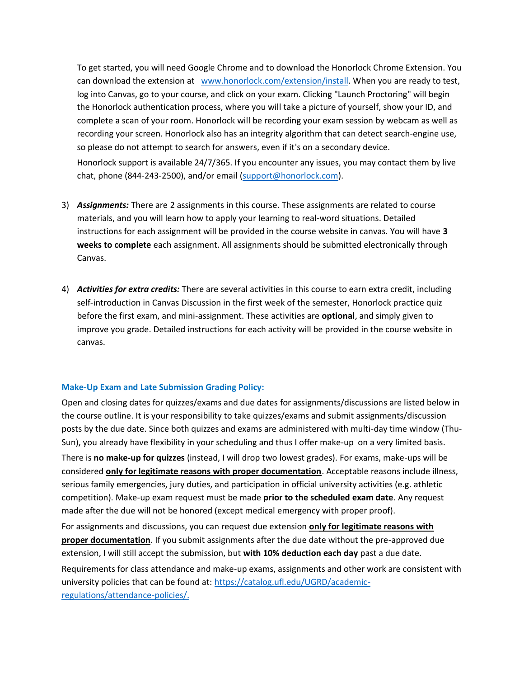To get started, you will need Google Chrome and to download the Honorlock Chrome Extension. You can download the extension at [www.honorlock.com/extension/install.](http://www.honorlock.com/extension/install) When you are ready to test, log into Canvas, go to your course, and click on your exam. Clicking "Launch Proctoring" will begin the Honorlock authentication process, where you will take a picture of yourself, show your ID, and complete a scan of your room. Honorlock will be recording your exam session by webcam as well as recording your screen. Honorlock also has an integrity algorithm that can detect search-engine use, so please do not attempt to search for answers, even if it's on a secondary device. Honorlock support is available 24/7/365. If you encounter any issues, you may contact them by live chat, phone (844-243-2500), and/or email [\(support@honorlock.com\)](mailto:support@honorlock.com).

- 3) *Assignments:* There are 2 assignments in this course. These assignments are related to course materials, and you will learn how to apply your learning to real-word situations. Detailed instructions for each assignment will be provided in the course website in canvas. You will have **3 weeks to complete** each assignment. All assignments should be submitted electronically through Canvas.
- 4) *Activities for extra credits:* There are several activities in this course to earn extra credit, including self-introduction in Canvas Discussion in the first week of the semester, Honorlock practice quiz before the first exam, and mini-assignment. These activities are **optional**, and simply given to improve you grade. Detailed instructions for each activity will be provided in the course website in canvas.

# **Make-Up Exam and Late Submission Grading Policy:**

Open and closing dates for quizzes/exams and due dates for assignments/discussions are listed below in the course outline. It is your responsibility to take quizzes/exams and submit assignments/discussion posts by the due date. Since both quizzes and exams are administered with multi-day time window (Thu-Sun), you already have flexibility in your scheduling and thus I offer make-up on a very limited basis. There is **no make-up for quizzes** (instead, I will drop two lowest grades). For exams, make-ups will be considered **only for legitimate reasons with proper documentation**. Acceptable reasons include illness, serious family emergencies, jury duties, and participation in official university activities (e.g. athletic competition). Make-up exam request must be made **prior to the scheduled exam date**. Any request made after the due will not be honored (except medical emergency with proper proof).

For assignments and discussions, you can request due extension **only for legitimate reasons with proper documentation**. If you submit assignments after the due date without the pre-approved due extension, I will still accept the submission, but **with 10% deduction each day** past a due date.

Requirements for class attendance and make-up exams, assignments and other work are consistent with university policies that can be found at: [https://catalog.ufl.edu/UGRD/academic](https://catalog.ufl.edu/UGRD/academic-regulations/attendance-policies/)[regulations/attendance-policies/.](https://catalog.ufl.edu/UGRD/academic-regulations/attendance-policies/)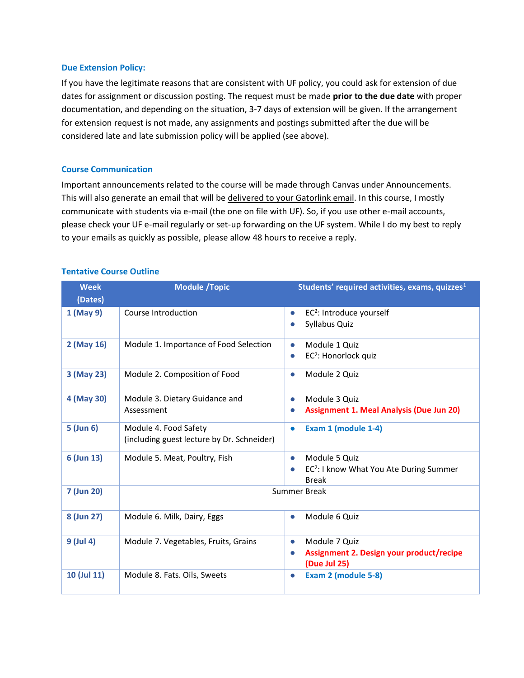#### **Due Extension Policy:**

If you have the legitimate reasons that are consistent with UF policy, you could ask for extension of due dates for assignment or discussion posting. The request must be made **prior to the due date** with proper documentation, and depending on the situation, 3-7 days of extension will be given. If the arrangement for extension request is not made, any assignments and postings submitted after the due will be considered late and late submission policy will be applied (see above).

#### **Course Communication**

Important announcements related to the course will be made through Canvas under Announcements. This will also generate an email that will be delivered to your Gatorlink email. In this course, I mostly communicate with students via e-mail (the one on file with UF). So, if you use other e-mail accounts, please check your UF e-mail regularly or set-up forwarding on the UF system. While I do my best to reply to your emails as quickly as possible, please allow 48 hours to receive a reply.

| <b>Week</b><br>(Dates) | <b>Module /Topic</b>                                                | Students' required activities, exams, quizzes <sup>1</sup>                                        |
|------------------------|---------------------------------------------------------------------|---------------------------------------------------------------------------------------------------|
| 1 (May 9)              | Course Introduction                                                 | EC <sup>2</sup> : Introduce yourself<br>$\bullet$<br>Syllabus Quiz                                |
| 2 (May 16)             | Module 1. Importance of Food Selection                              | Module 1 Quiz<br>$\bullet$<br>EC <sup>2</sup> : Honorlock quiz<br>$\bullet$                       |
| 3 (May 23)             | Module 2. Composition of Food                                       | Module 2 Quiz<br>$\bullet$                                                                        |
| 4 (May 30)             | Module 3. Dietary Guidance and<br>Assessment                        | Module 3 Quiz<br>$\bullet$<br><b>Assignment 1. Meal Analysis (Due Jun 20)</b>                     |
| 5 (Jun 6)              | Module 4. Food Safety<br>(including guest lecture by Dr. Schneider) | Exam 1 (module 1-4)<br>$\bullet$                                                                  |
| 6 (Jun 13)             | Module 5. Meat, Poultry, Fish                                       | Module 5 Ouiz<br>$\bullet$<br>EC <sup>2</sup> : I know What You Ate During Summer<br><b>Break</b> |
| 7 (Jun 20)             |                                                                     | <b>Summer Break</b>                                                                               |
| 8 (Jun 27)             | Module 6. Milk, Dairy, Eggs                                         | Module 6 Quiz<br>$\bullet$                                                                        |
| 9 (Jul 4)              | Module 7. Vegetables, Fruits, Grains                                | Module 7 Quiz<br>$\bullet$<br>Assignment 2. Design your product/recipe<br>(Due Jul 25)            |
| 10 (Jul 11)            | Module 8. Fats. Oils, Sweets                                        | Exam 2 (module 5-8)<br>$\bullet$                                                                  |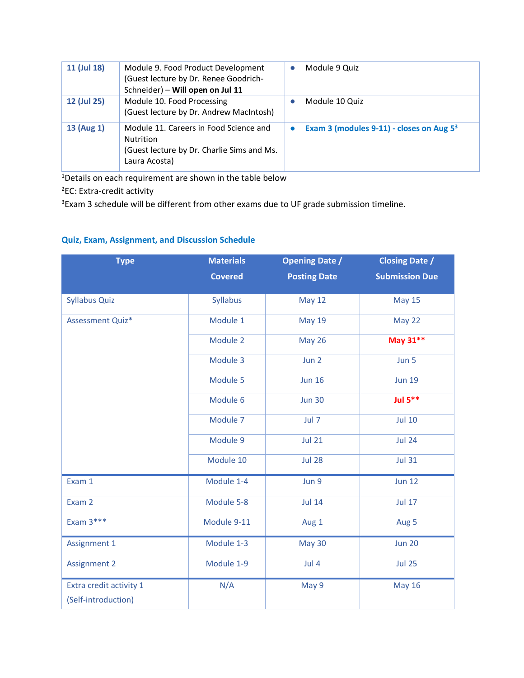| 11 (Jul 18) | Module 9. Food Product Development<br>(Guest lecture by Dr. Renee Goodrich-<br>Schneider) - Will open on Jul 11           | Module 9 Quiz                                        |
|-------------|---------------------------------------------------------------------------------------------------------------------------|------------------------------------------------------|
| 12 (Jul 25) | Module 10. Food Processing<br>(Guest lecture by Dr. Andrew MacIntosh)                                                     | Module 10 Quiz                                       |
| 13 (Aug 1)  | Module 11. Careers in Food Science and<br><b>Nutrition</b><br>(Guest lecture by Dr. Charlie Sims and Ms.<br>Laura Acosta) | Exam 3 (modules 9-11) - closes on Aug 5 <sup>3</sup> |

<sup>1</sup>Details on each requirement are shown in the table below

<sup>2</sup>EC: Extra-credit activity

<sup>3</sup>Exam 3 schedule will be different from other exams due to UF grade submission timeline.

# **Quiz, Exam, Assignment, and Discussion Schedule**

| <b>Type</b>                                    | <b>Materials</b> | <b>Opening Date /</b> | <b>Closing Date /</b> |  |  |
|------------------------------------------------|------------------|-----------------------|-----------------------|--|--|
|                                                | <b>Covered</b>   | <b>Posting Date</b>   | <b>Submission Due</b> |  |  |
| <b>Syllabus Quiz</b>                           | <b>Syllabus</b>  | <b>May 12</b>         | <b>May 15</b>         |  |  |
| Assessment Quiz*                               | Module 1         | <b>May 19</b>         | May 22                |  |  |
|                                                | Module 2         | <b>May 26</b>         | May 31**              |  |  |
|                                                | Module 3         | Jun 2                 | Jun 5                 |  |  |
|                                                | Module 5         | <b>Jun 16</b>         | <b>Jun 19</b>         |  |  |
|                                                | Module 6         | <b>Jun 30</b>         | <b>Jul 5**</b>        |  |  |
|                                                | Module 7         | Jul 7                 | <b>Jul 10</b>         |  |  |
|                                                | Module 9         | <b>Jul 21</b>         | <b>Jul 24</b>         |  |  |
|                                                | Module 10        | <b>Jul 28</b>         | <b>Jul 31</b>         |  |  |
| Exam 1                                         | Module 1-4       | Jun 9                 | <b>Jun 12</b>         |  |  |
| Exam 2                                         | Module 5-8       | <b>Jul 14</b>         | <b>Jul 17</b>         |  |  |
| Exam $3***$                                    | Module 9-11      | Aug 1                 | Aug 5                 |  |  |
| <b>Assignment 1</b>                            | Module 1-3       | <b>May 30</b>         | <b>Jun 20</b>         |  |  |
| <b>Assignment 2</b>                            | Module 1-9       | Jul 4                 | <b>Jul 25</b>         |  |  |
| Extra credit activity 1<br>(Self-introduction) | N/A              | May 9                 | <b>May 16</b>         |  |  |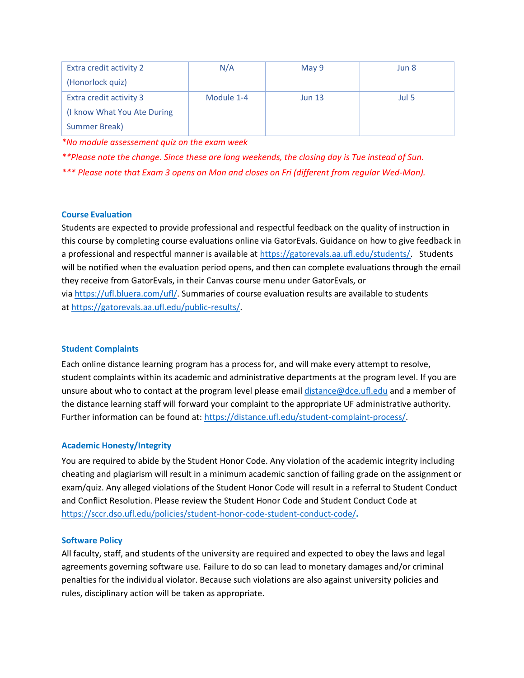| Extra credit activity 2     | N/A        | May 9         | Jun 8 |
|-----------------------------|------------|---------------|-------|
| (Honorlock quiz)            |            |               |       |
| Extra credit activity 3     | Module 1-4 | <b>Jun 13</b> | Jul 5 |
| (I know What You Ate During |            |               |       |
| <b>Summer Break)</b>        |            |               |       |

*\*No module assessement quiz on the exam week*

*\*\*Please note the change. Since these are long weekends, the closing day is Tue instead of Sun.*

*\*\*\* Please note that Exam 3 opens on Mon and closes on Fri (different from regular Wed-Mon).*

# **Course Evaluation**

Students are expected to provide professional and respectful feedback on the quality of instruction in this course by completing course evaluations online via GatorEvals. Guidance on how to give feedback in a professional and respectful manner is available at [https://gatorevals.aa.ufl.edu/students/.](https://gatorevals.aa.ufl.edu/students/) Students will be notified when the evaluation period opens, and then can complete evaluations through the email they receive from GatorEvals, in their Canvas course menu under GatorEvals, or via [https://ufl.bluera.com/ufl/.](https://ufl.bluera.com/ufl/) Summaries of course evaluation results are available to students at [https://gatorevals.aa.ufl.edu/public-results/.](https://gatorevals.aa.ufl.edu/public-results/)

# **Student Complaints**

Each online distance learning program has a process for, and will make every attempt to resolve, student complaints within its academic and administrative departments at the program level. If you are unsure about who to contact at the program level please email [distance@dce.ufl.edu](mailto:distance@dce.ufl.edu) and a member of the distance learning staff will forward your complaint to the appropriate UF administrative authority. Further information can be found at: [https://distance.ufl.edu/student-complaint-process/.](https://distance.ufl.edu/student-complaint-process/)

# **Academic Honesty/Integrity**

You are required to abide by the Student Honor Code. Any violation of the academic integrity including cheating and plagiarism will result in a minimum academic sanction of failing grade on the assignment or exam/quiz. Any alleged violations of the Student Honor Code will result in a referral to Student Conduct and Conflict Resolution. Please review the Student Honor Code and Student Conduct Code at <https://sccr.dso.ufl.edu/policies/student-honor-code-student-conduct-code/>**.**

# **Software Policy**

All faculty, staff, and students of the university are required and expected to obey the laws and legal agreements governing software use. Failure to do so can lead to monetary damages and/or criminal penalties for the individual violator. Because such violations are also against university policies and rules, disciplinary action will be taken as appropriate.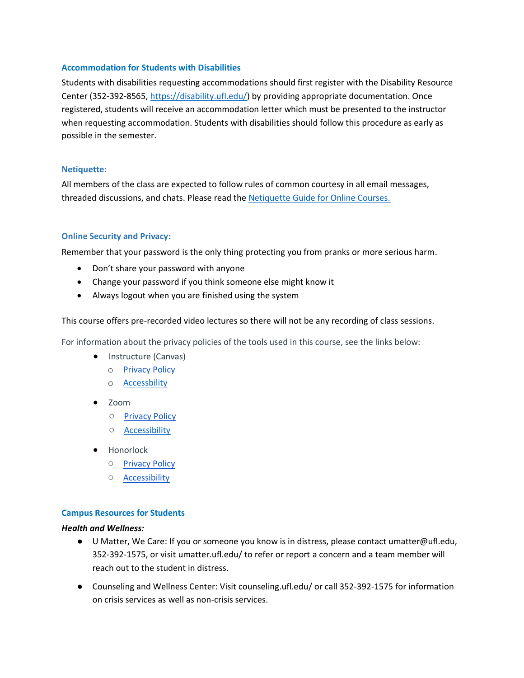## **Accommodation for Students with Disabilities**

Students with disabilities requesting accommodations should first register with the Disability Resource Center (352-392-8565[, https://disability.ufl.edu/\)](https://disability.ufl.edu/) by providing appropriate documentation. Once registered, students will receive an accommodation letter which must be presented to the instructor when requesting accommodation. Students with disabilities should follow this procedure as early as possible in the semester.

## **Netiquette:**

All members of the class are expected to follow rules of common courtesy in all email messages, threaded discussions, and chats. Please read the [Netiquette Guide for Online Courses.](https://www.cise.ufl.edu/wp-content/uploads/2019/08/CISE_Netiquette_Guide.pdf)

# **Online Security and Privacy:**

Remember that your password is the only thing protecting you from pranks or more serious harm.

- Don't share your password with anyone
- Change your password if you think someone else might know it
- Always logout when you are finished using the system

This course offers pre-recorded video lectures so there will not be any recording of class sessions.

For information about the privacy policies of the tools used in this course, see the links below:

- Instructure (Canvas)
	- o [Privacy Policy](https://www.instructure.com/policies/privacy)
	- o [Accessbility](https://www.instructure.com/canvas/accessibility)
- Zoom
	- [Privacy Policy](https://zoom.us/privacy)
	- [Accessibility](https://zoom.us/accessibility)
- Honorlock
	- [Privacy Policy](https://honorlock.com/student-privacy-statement/)
	- [Accessibility](https://honorlock.com/accessibility-statement/)

# **Campus Resources for Students**

## *Health and Wellness:*

- U Matter, We Care: If you or someone you know is in distress, please contact umatter@ufl.edu, 352-392-1575, or visit umatter.ufl.edu/ to refer or report a concern and a team member will reach out to the student in distress.
- Counseling and Wellness Center: Visit counseling.ufl.edu/ or call 352-392-1575 for information on crisis services as well as non-crisis services.